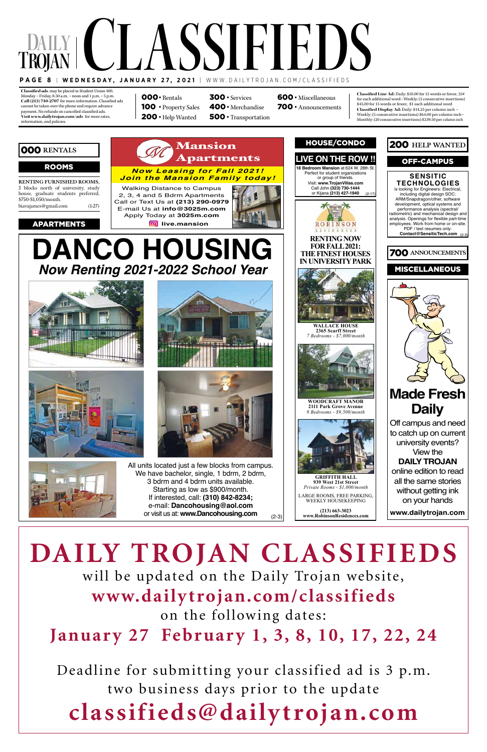**Classified ads:**may be placed in Student Union 400, Monday – Friday, 8:30 a.m. – noon and 1 p.m. – 5 p.m. Call (213) 740-2707 for more information. Classified ads cannot be taken over the phone and require advance payment. No refunds on cancelled classified ads. **Visit www.dailytrojan.com/ads:** for more rates, information, and policies.

## **Daily T Page 8**  | **Wednesday, January 27, 2021** | www.dailytrojan.com/classified S **rojan** CLASSIFIEDS **d**

**Classified Line Ad:** Daily: \$10.00 for 15 words or fewer, 35¢ for each additional word  $\boldsymbol{\cdot}$  Weekly: (5 consecutive insertions) \$45.00 for 15 words or fewer, \$1 each additional word **Classified Display Ad:** Daily: \$14.25 per column inch • Weekly: (5 consecutive insertions) \$64.00 per column inch • Monthly: (20 consecutive insertions) \$239.50 per column inch

000· Rentals 100 • Property Sales 200 · Help Wanted

 · Services 400· Merchandise · Transportation · Miscellaneous · Announcements



(2-3) All units located just a few blocks from campus. We have bachelor, single, 1 bdrm, 2 bdrm, 3 bdrm and 4 bdrm units available. Starting as low as \$900/month. If interested, call: **(310) 842-8234;** e-mail: **Dancohousing@aol.com** or visit us at: **www.Dancohousing.com**

### Rooms

## 000 **Rentals**



**RENTING FURNISHED ROOMS,**  3 blocks north of university, study house, graduate students preferred, \$750-\$1,050/month. biavajames@gmail.com (1-27)



**(213) 663-3023 www.RobinsonResidences.com**

### **DANCO HOUSING Now Renting 2021-2022 School Year** - 2, 3, 4, and 5 Bedroom  $\blacksquare$  $\blacksquare$ Living Rooms and Dining iting zuz r-zuz and Parking Apply Today at 3025m.com

**www.dailytrojan.com**

# **DAILY TROJAN CLASSIFIEDS**

will be updated on the Daily Trojan website, **www.dailytrojan.com/classifieds** on the following dates: **January 27 February 1, 3, 8, 10, 17, 22, 24**

Deadline for submitting your classified ad is 3 p.m. two business days prior to the update **classifieds@dailytrojan.com**

Mansion







info@3025m.com

Walking Distance to Campus<br>2.2.4 and 5 Bdrm Apartments 27) E-mail Us at **info@3025m.com** Apply Today at **3025m.com** Campus 2, 3, 4 and 5 Bdrm Apartments Call or Text Us at **(213) 290-0979** - Spacious Bedrooms, Living Rooms and Dining **<b>B** live.mansion